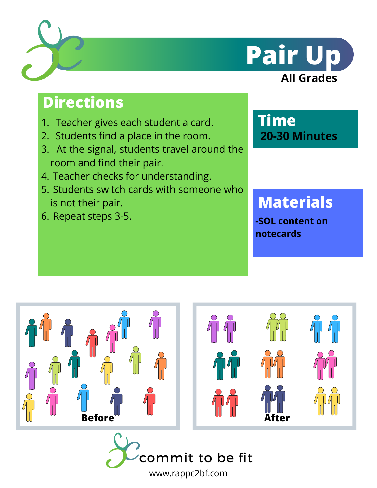



# **Directions**

- 1. Teacher gives each student a card.
- 2. Students find a place in the room.
- At the signal, students travel around the 3. room and find their pair.
- 4. Teacher checks for understanding.
- 5. Students switch cards with someone who is not their pair.
- 6. Repeat steps 3-5.

**Time 20-30 Minutes**

# **Materials**

**-SOL content on notecards**